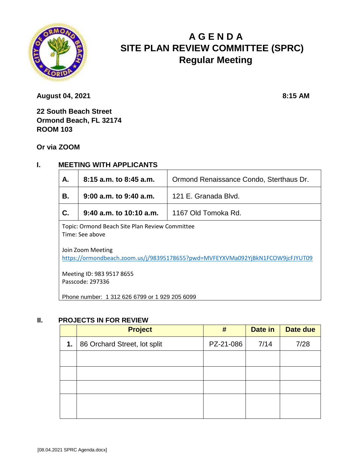

# **A G E N D A SITE PLAN REVIEW COMMITTEE (SPRC) Regular Meeting**

**August 04, 2021 8:15 AM** 

**22 South Beach Street Ormond Beach, FL 32174 ROOM 103** 

**Or via ZOOM**

## **I. MEETING WITH APPLICANTS**

| Α.                                                                                                   | 8:15 a.m. to 8:45 a.m.     | Ormond Renaissance Condo, Sterthaus Dr. |  |  |
|------------------------------------------------------------------------------------------------------|----------------------------|-----------------------------------------|--|--|
| В.                                                                                                   | $9:00$ a.m. to $9:40$ a.m. | 121 E. Granada Blvd.                    |  |  |
| C.                                                                                                   | $9:40$ a.m. to 10:10 a.m.  | 1167 Old Tomoka Rd.                     |  |  |
| Topic: Ormond Beach Site Plan Review Committee<br>Time: See above                                    |                            |                                         |  |  |
| Join Zoom Meeting<br>https://ormondbeach.zoom.us/i/082051786552pwd-MVEEVYVM12002ViRkN1ECOWQicEIVUTOQ |                            |                                         |  |  |

<https://ormondbeach.zoom.us/j/98395178655?pwd=MVFEYXVMa092YjBkN1FCOW9jcFJYUT09>

Meeting ID: 983 9517 8655 Passcode: 297336

Phone number: 1 312 626 6799 or 1 929 205 6099

#### **II. PROJECTS IN FOR REVIEW**

|    | <b>Project</b>               | #         | Date in | Date due |
|----|------------------------------|-----------|---------|----------|
| 1. | 86 Orchard Street, lot split | PZ-21-086 | 7/14    | 7/28     |
|    |                              |           |         |          |
|    |                              |           |         |          |
|    |                              |           |         |          |
|    |                              |           |         |          |